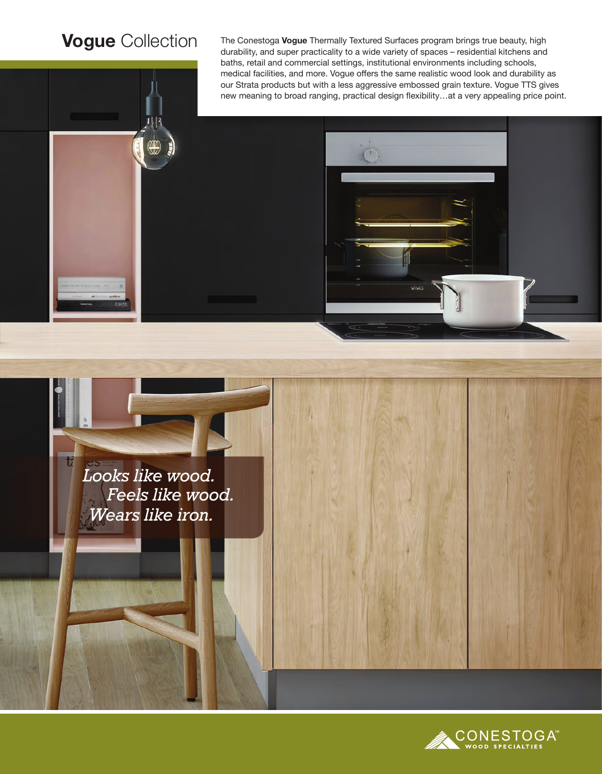## **Vogue** Collection

W

The Conestoga **Vogue** Thermally Textured Surfaces program brings true beauty, high durability, and super practicality to a wide variety of spaces – residential kitchens and baths, retail and commercial settings, institutional environments including schools, medical facilities, and more. Vogue offers the same realistic wood look and durability as our Strata products but with a less aggressive embossed grain texture. Vogue TTS gives new meaning to broad ranging, practical design flexibility…at a very appealing price point.

*Looks like wood. Feels like wood. Wears like iron.*

t